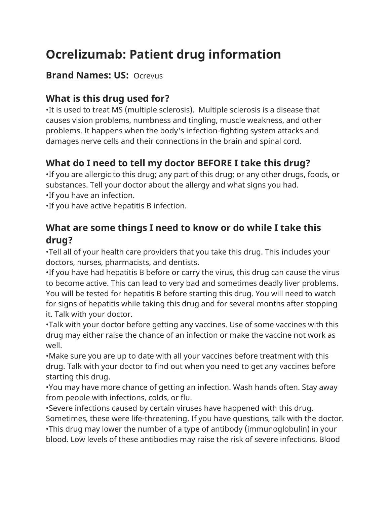# **Ocrelizumab: Patient drug information**

#### **Brand Names: US:** Ocrevus

# **What is this drug used for?**

•It is used to treat MS (multiple sclerosis). Multiple sclerosis is a disease that causes vision problems, numbness and tingling, muscle weakness, and other problems. It happens when the body's infection-fighting system attacks and damages nerve cells and their connections in the brain and spinal cord.

# **What do I need to tell my doctor BEFORE I take this drug?**

•If you are allergic to this drug; any part of this drug; or any other drugs, foods, or substances. Tell your doctor about the allergy and what signs you had. •If you have an infection.

•If you have active hepatitis B infection.

#### **What are some things I need to know or do while I take this drug?**

•Tell all of your health care providers that you take this drug. This includes your doctors, nurses, pharmacists, and dentists.

•If you have had hepatitis B before or carry the virus, this drug can cause the virus to become active. This can lead to very bad and sometimes deadly liver problems. You will be tested for hepatitis B before starting this drug. You will need to watch for signs of hepatitis while taking this drug and for several months after stopping it. Talk with your doctor.

•Talk with your doctor before getting any vaccines. Use of some vaccines with this drug may either raise the chance of an infection or make the vaccine not work as well.

•Make sure you are up to date with all your vaccines before treatment with this drug. Talk with your doctor to find out when you need to get any vaccines before starting this drug.

•You may have more chance of getting an infection. Wash hands often. Stay away from people with infections, colds, or flu.

•Severe infections caused by certain viruses have happened with this drug.

Sometimes, these were life-threatening. If you have questions, talk with the doctor. •This drug may lower the number of a type of antibody (immunoglobulin) in your blood. Low levels of these antibodies may raise the risk of severe infections. Blood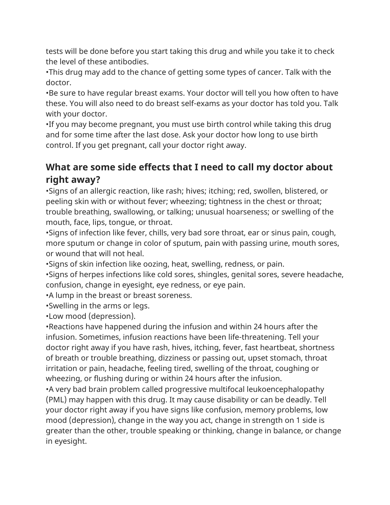tests will be done before you start taking this drug and while you take it to check the level of these antibodies.

•This drug may add to the chance of getting some types of cancer. Talk with the doctor.

•Be sure to have regular breast exams. Your doctor will tell you how often to have these. You will also need to do breast self-exams as your doctor has told you. Talk with your doctor.

•If you may become pregnant, you must use birth control while taking this drug and for some time after the last dose. Ask your doctor how long to use birth control. If you get pregnant, call your doctor right away.

## **What are some side effects that I need to call my doctor about right away?**

•Signs of an allergic reaction, like rash; hives; itching; red, swollen, blistered, or peeling skin with or without fever; wheezing; tightness in the chest or throat; trouble breathing, swallowing, or talking; unusual hoarseness; or swelling of the mouth, face, lips, tongue, or throat.

•Signs of infection like fever, chills, very bad sore throat, ear or sinus pain, cough, more sputum or change in color of sputum, pain with passing urine, mouth sores, or wound that will not heal.

•Signs of skin infection like oozing, heat, swelling, redness, or pain.

•Signs of herpes infections like cold sores, shingles, genital sores, severe headache, confusion, change in eyesight, eye redness, or eye pain.

•A lump in the breast or breast soreness.

•Swelling in the arms or legs.

•Low mood (depression).

•Reactions have happened during the infusion and within 24 hours after the infusion. Sometimes, infusion reactions have been life-threatening. Tell your doctor right away if you have rash, hives, itching, fever, fast heartbeat, shortness of breath or trouble breathing, dizziness or passing out, upset stomach, throat irritation or pain, headache, feeling tired, swelling of the throat, coughing or wheezing, or flushing during or within 24 hours after the infusion.

•A very bad brain problem called progressive multifocal leukoencephalopathy (PML) may happen with this drug. It may cause disability or can be deadly. Tell your doctor right away if you have signs like confusion, memory problems, low mood (depression), change in the way you act, change in strength on 1 side is greater than the other, trouble speaking or thinking, change in balance, or change in eyesight.